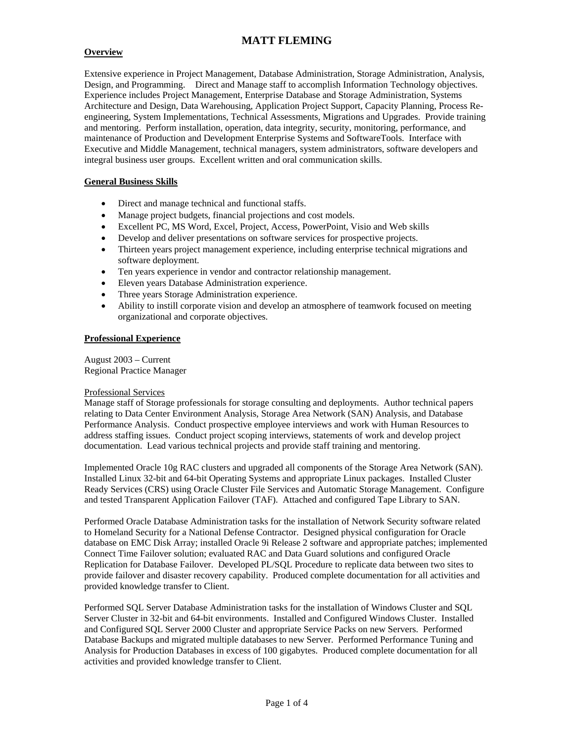## **Overview**

Extensive experience in Project Management, Database Administration, Storage Administration, Analysis, Design, and Programming. Direct and Manage staff to accomplish Information Technology objectives. Experience includes Project Management, Enterprise Database and Storage Administration, Systems Architecture and Design, Data Warehousing, Application Project Support, Capacity Planning, Process Reengineering, System Implementations, Technical Assessments, Migrations and Upgrades. Provide training and mentoring. Perform installation, operation, data integrity, security, monitoring, performance, and maintenance of Production and Development Enterprise Systems and SoftwareTools. Interface with Executive and Middle Management, technical managers, system administrators, software developers and integral business user groups. Excellent written and oral communication skills.

## **General Business Skills**

- Direct and manage technical and functional staffs.
- Manage project budgets, financial projections and cost models.
- Excellent PC, MS Word, Excel, Project, Access, PowerPoint, Visio and Web skills
- Develop and deliver presentations on software services for prospective projects.
- Thirteen years project management experience, including enterprise technical migrations and software deployment.
- Ten years experience in vendor and contractor relationship management.
- Eleven years Database Administration experience.
- Three years Storage Administration experience.
- Ability to instill corporate vision and develop an atmosphere of teamwork focused on meeting organizational and corporate objectives.

### **Professional Experience**

August 2003 – Current Regional Practice Manager

#### Professional Services

Manage staff of Storage professionals for storage consulting and deployments. Author technical papers relating to Data Center Environment Analysis, Storage Area Network (SAN) Analysis, and Database Performance Analysis. Conduct prospective employee interviews and work with Human Resources to address staffing issues. Conduct project scoping interviews, statements of work and develop project documentation. Lead various technical projects and provide staff training and mentoring.

Implemented Oracle 10g RAC clusters and upgraded all components of the Storage Area Network (SAN). Installed Linux 32-bit and 64-bit Operating Systems and appropriate Linux packages. Installed Cluster Ready Services (CRS) using Oracle Cluster File Services and Automatic Storage Management. Configure and tested Transparent Application Failover (TAF). Attached and configured Tape Library to SAN.

Performed Oracle Database Administration tasks for the installation of Network Security software related to Homeland Security for a National Defense Contractor. Designed physical configuration for Oracle database on EMC Disk Array; installed Oracle 9i Release 2 software and appropriate patches; implemented Connect Time Failover solution; evaluated RAC and Data Guard solutions and configured Oracle Replication for Database Failover. Developed PL/SQL Procedure to replicate data between two sites to provide failover and disaster recovery capability. Produced complete documentation for all activities and provided knowledge transfer to Client.

Performed SQL Server Database Administration tasks for the installation of Windows Cluster and SQL Server Cluster in 32-bit and 64-bit environments. Installed and Configured Windows Cluster. Installed and Configured SQL Server 2000 Cluster and appropriate Service Packs on new Servers. Performed Database Backups and migrated multiple databases to new Server. Performed Performance Tuning and Analysis for Production Databases in excess of 100 gigabytes. Produced complete documentation for all activities and provided knowledge transfer to Client.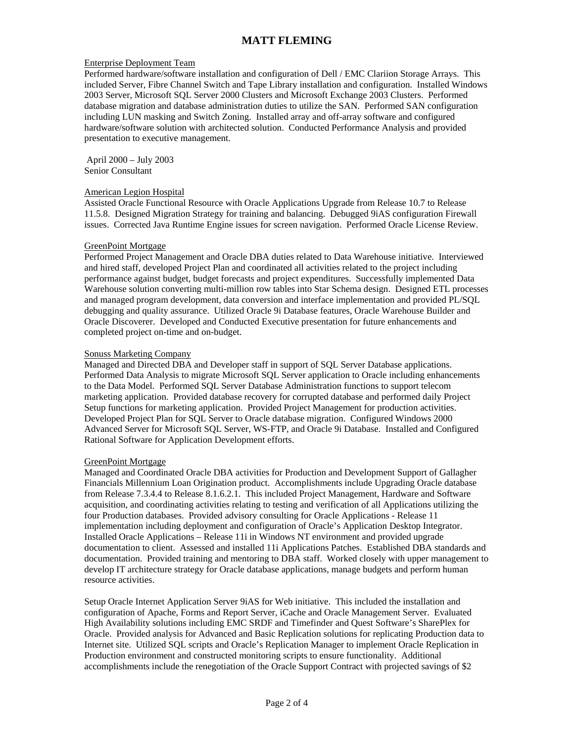### Enterprise Deployment Team

Performed hardware/software installation and configuration of Dell / EMC Clariion Storage Arrays. This included Server, Fibre Channel Switch and Tape Library installation and configuration. Installed Windows 2003 Server, Microsoft SQL Server 2000 Clusters and Microsoft Exchange 2003 Clusters. Performed database migration and database administration duties to utilize the SAN. Performed SAN configuration including LUN masking and Switch Zoning. Installed array and off-array software and configured hardware/software solution with architected solution. Conducted Performance Analysis and provided presentation to executive management.

 April 2000 – July 2003 Senior Consultant

#### American Legion Hospital

Assisted Oracle Functional Resource with Oracle Applications Upgrade from Release 10.7 to Release 11.5.8. Designed Migration Strategy for training and balancing. Debugged 9iAS configuration Firewall issues. Corrected Java Runtime Engine issues for screen navigation. Performed Oracle License Review.

#### GreenPoint Mortgage

Performed Project Management and Oracle DBA duties related to Data Warehouse initiative. Interviewed and hired staff, developed Project Plan and coordinated all activities related to the project including performance against budget, budget forecasts and project expenditures. Successfully implemented Data Warehouse solution converting multi-million row tables into Star Schema design. Designed ETL processes and managed program development, data conversion and interface implementation and provided PL/SQL debugging and quality assurance. Utilized Oracle 9i Database features, Oracle Warehouse Builder and Oracle Discoverer. Developed and Conducted Executive presentation for future enhancements and completed project on-time and on-budget.

### Sonuss Marketing Company

Managed and Directed DBA and Developer staff in support of SQL Server Database applications. Performed Data Analysis to migrate Microsoft SQL Server application to Oracle including enhancements to the Data Model. Performed SQL Server Database Administration functions to support telecom marketing application. Provided database recovery for corrupted database and performed daily Project Setup functions for marketing application. Provided Project Management for production activities. Developed Project Plan for SQL Server to Oracle database migration. Configured Windows 2000 Advanced Server for Microsoft SQL Server, WS-FTP, and Oracle 9i Database. Installed and Configured Rational Software for Application Development efforts.

#### GreenPoint Mortgage

Managed and Coordinated Oracle DBA activities for Production and Development Support of Gallagher Financials Millennium Loan Origination product. Accomplishments include Upgrading Oracle database from Release 7.3.4.4 to Release 8.1.6.2.1. This included Project Management, Hardware and Software acquisition, and coordinating activities relating to testing and verification of all Applications utilizing the four Production databases. Provided advisory consulting for Oracle Applications - Release 11 implementation including deployment and configuration of Oracle's Application Desktop Integrator. Installed Oracle Applications – Release 11i in Windows NT environment and provided upgrade documentation to client. Assessed and installed 11i Applications Patches. Established DBA standards and documentation. Provided training and mentoring to DBA staff. Worked closely with upper management to develop IT architecture strategy for Oracle database applications, manage budgets and perform human resource activities.

Setup Oracle Internet Application Server 9iAS for Web initiative. This included the installation and configuration of Apache, Forms and Report Server, iCache and Oracle Management Server. Evaluated High Availability solutions including EMC SRDF and Timefinder and Quest Software's SharePlex for Oracle. Provided analysis for Advanced and Basic Replication solutions for replicating Production data to Internet site. Utilized SQL scripts and Oracle's Replication Manager to implement Oracle Replication in Production environment and constructed monitoring scripts to ensure functionality. Additional accomplishments include the renegotiation of the Oracle Support Contract with projected savings of \$2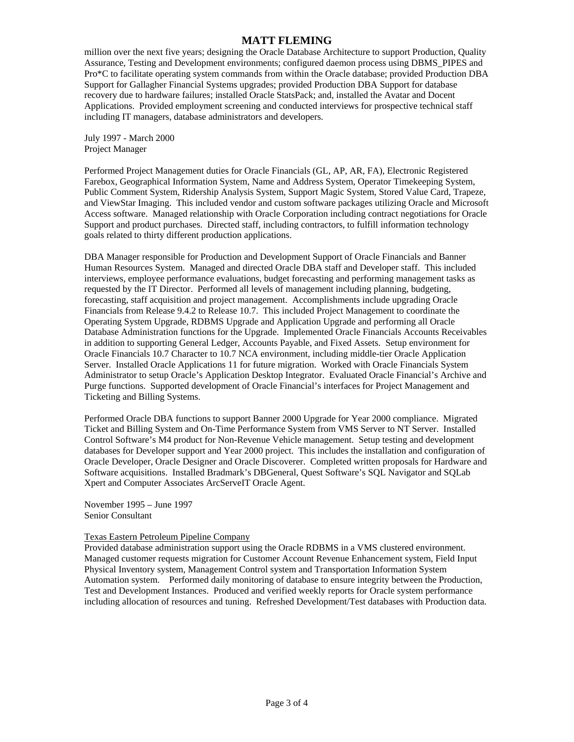million over the next five years; designing the Oracle Database Architecture to support Production, Quality Assurance, Testing and Development environments; configured daemon process using DBMS\_PIPES and Pro\*C to facilitate operating system commands from within the Oracle database; provided Production DBA Support for Gallagher Financial Systems upgrades; provided Production DBA Support for database recovery due to hardware failures; installed Oracle StatsPack; and, installed the Avatar and Docent Applications. Provided employment screening and conducted interviews for prospective technical staff including IT managers, database administrators and developers.

July 1997 - March 2000 Project Manager

Performed Project Management duties for Oracle Financials (GL, AP, AR, FA), Electronic Registered Farebox, Geographical Information System, Name and Address System, Operator Timekeeping System, Public Comment System, Ridership Analysis System, Support Magic System, Stored Value Card, Trapeze, and ViewStar Imaging. This included vendor and custom software packages utilizing Oracle and Microsoft Access software. Managed relationship with Oracle Corporation including contract negotiations for Oracle Support and product purchases. Directed staff, including contractors, to fulfill information technology goals related to thirty different production applications.

DBA Manager responsible for Production and Development Support of Oracle Financials and Banner Human Resources System. Managed and directed Oracle DBA staff and Developer staff. This included interviews, employee performance evaluations, budget forecasting and performing management tasks as requested by the IT Director. Performed all levels of management including planning, budgeting, forecasting, staff acquisition and project management. Accomplishments include upgrading Oracle Financials from Release 9.4.2 to Release 10.7. This included Project Management to coordinate the Operating System Upgrade, RDBMS Upgrade and Application Upgrade and performing all Oracle Database Administration functions for the Upgrade. Implemented Oracle Financials Accounts Receivables in addition to supporting General Ledger, Accounts Payable, and Fixed Assets. Setup environment for Oracle Financials 10.7 Character to 10.7 NCA environment, including middle-tier Oracle Application Server. Installed Oracle Applications 11 for future migration. Worked with Oracle Financials System Administrator to setup Oracle's Application Desktop Integrator. Evaluated Oracle Financial's Archive and Purge functions. Supported development of Oracle Financial's interfaces for Project Management and Ticketing and Billing Systems.

Performed Oracle DBA functions to support Banner 2000 Upgrade for Year 2000 compliance. Migrated Ticket and Billing System and On-Time Performance System from VMS Server to NT Server. Installed Control Software's M4 product for Non-Revenue Vehicle management. Setup testing and development databases for Developer support and Year 2000 project. This includes the installation and configuration of Oracle Developer, Oracle Designer and Oracle Discoverer. Completed written proposals for Hardware and Software acquisitions. Installed Bradmark's DBGeneral, Quest Software's SQL Navigator and SQLab Xpert and Computer Associates ArcServeIT Oracle Agent.

November 1995 – June 1997 Senior Consultant

### Texas Eastern Petroleum Pipeline Company

Provided database administration support using the Oracle RDBMS in a VMS clustered environment. Managed customer requests migration for Customer Account Revenue Enhancement system, Field Input Physical Inventory system, Management Control system and Transportation Information System Automation system. Performed daily monitoring of database to ensure integrity between the Production, Test and Development Instances. Produced and verified weekly reports for Oracle system performance including allocation of resources and tuning. Refreshed Development/Test databases with Production data.